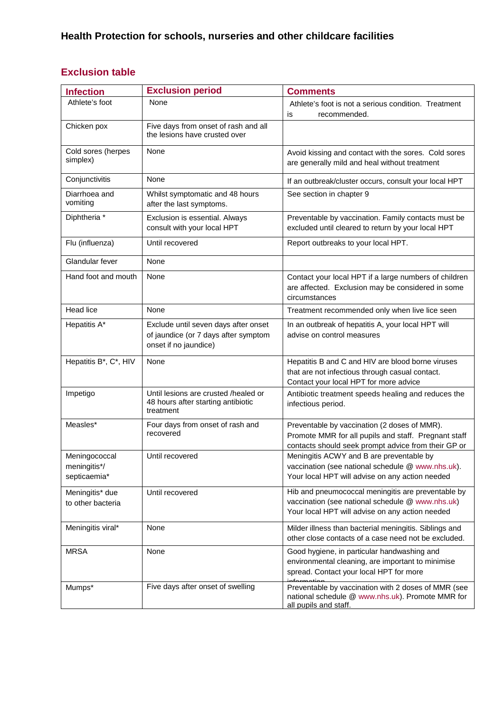## **Exclusion table**

| <b>Infection</b>                              | <b>Exclusion period</b>                                                                               | <b>Comments</b>                                                                                                                                             |
|-----------------------------------------------|-------------------------------------------------------------------------------------------------------|-------------------------------------------------------------------------------------------------------------------------------------------------------------|
| Athlete's foot                                | None                                                                                                  | Athlete's foot is not a serious condition. Treatment<br>recommended.<br>is                                                                                  |
| Chicken pox                                   | Five days from onset of rash and all<br>the lesions have crusted over                                 |                                                                                                                                                             |
| Cold sores (herpes<br>simplex)                | None                                                                                                  | Avoid kissing and contact with the sores. Cold sores<br>are generally mild and heal without treatment                                                       |
| Conjunctivitis                                | None                                                                                                  | If an outbreak/cluster occurs, consult your local HPT                                                                                                       |
| Diarrhoea and<br>vomiting                     | Whilst symptomatic and 48 hours<br>after the last symptoms.                                           | See section in chapter 9                                                                                                                                    |
| Diphtheria *                                  | Exclusion is essential. Always<br>consult with your local HPT                                         | Preventable by vaccination. Family contacts must be<br>excluded until cleared to return by your local HPT                                                   |
| Flu (influenza)                               | Until recovered                                                                                       | Report outbreaks to your local HPT.                                                                                                                         |
| Glandular fever                               | None                                                                                                  |                                                                                                                                                             |
| Hand foot and mouth                           | None                                                                                                  | Contact your local HPT if a large numbers of children<br>are affected. Exclusion may be considered in some<br>circumstances                                 |
| Head lice                                     | None                                                                                                  | Treatment recommended only when live lice seen                                                                                                              |
| Hepatitis A*                                  | Exclude until seven days after onset<br>of jaundice (or 7 days after symptom<br>onset if no jaundice) | In an outbreak of hepatitis A, your local HPT will<br>advise on control measures                                                                            |
| Hepatitis B*, C*, HIV                         | None                                                                                                  | Hepatitis B and C and HIV are blood borne viruses<br>that are not infectious through casual contact.<br>Contact your local HPT for more advice              |
| Impetigo                                      | Until lesions are crusted /healed or<br>48 hours after starting antibiotic<br>treatment               | Antibiotic treatment speeds healing and reduces the<br>infectious period.                                                                                   |
| Measles*                                      | Four days from onset of rash and<br>recovered                                                         | Preventable by vaccination (2 doses of MMR).<br>Promote MMR for all pupils and staff. Pregnant staff<br>contacts should seek prompt advice from their GP or |
| Meningococcal<br>meningitis*/<br>septicaemia* | Until recovered                                                                                       | Meningitis ACWY and B are preventable by<br>vaccination (see national schedule @ www.nhs.uk).<br>Your local HPT will advise on any action needed            |
| Meningitis* due<br>to other bacteria          | Until recovered                                                                                       | Hib and pneumococcal meningitis are preventable by<br>vaccination (see national schedule @ www.nhs.uk)<br>Your local HPT will advise on any action needed   |
| Meningitis viral*                             | None                                                                                                  | Milder illness than bacterial meningitis. Siblings and<br>other close contacts of a case need not be excluded.                                              |
| <b>MRSA</b>                                   | None                                                                                                  | Good hygiene, in particular handwashing and<br>environmental cleaning, are important to minimise<br>spread. Contact your local HPT for more                 |
| Mumps*                                        | Five days after onset of swelling                                                                     | Preventable by vaccination with 2 doses of MMR (see<br>national schedule @ www.nhs.uk). Promote MMR for<br>all pupils and staff.                            |